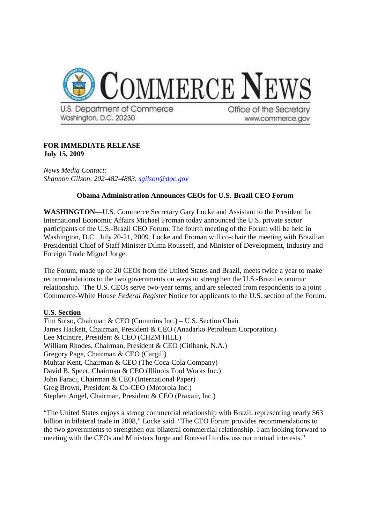

## **FOR IMMEDIATE RELEASE July 15, 2009**

*News Media Contact: Shannon Gilson, 202-482-4883, sgilson@doc.gov*

## **Obama Administration Announces CEOs for U.S.-Brazil CEO Forum**

**WASHINGTON**—U.S. Commerce Secretary Gary Locke and Assistant to the President for International Economic Affairs Michael Froman today announced the U.S. private sector participants of the U.S.-Brazil CEO Forum. The fourth meeting of the Forum will be held in Washington, D.C., July 20-21, 2009. Locke and Froman will co-chair the meeting with Brazilian Presidential Chief of Staff Minister Dilma Rousseff, and Minister of Development, Industry and Foreign Trade Miguel Jorge.

The Forum, made up of 20 CEOs from the United States and Brazil, meets twice a year to make recommendations to the two governments on ways to strengthen the U.S.-Brazil economic relationship. The U.S. CEOs serve two-year terms, and are selected from respondents to a joint Commerce-White House *Federal Register* Notice for applicants to the U.S. section of the Forum.

## **U.S. Section**

Tim Solso, Chairman & CEO (Cummins Inc.) – U.S. Section Chair James Hackett, Chairman, President & CEO (Anadarko Petroleum Corporation) Lee McIntire, President & CEO (CH2M HILL) William Rhodes, Chairman, President & CEO (Citibank, N.A.) Gregory Page, Chairman & CEO (Cargill) Muhtar Kent, Chairman & CEO (The Coca-Cola Company) David B. Speer, Chairman & CEO (Illinois Tool Works Inc.) John Faraci, Chairman & CEO (International Paper) Greg Brown, President & Co-CEO (Motorola Inc.) Stephen Angel, Chairman, President & CEO (Praxair, Inc.)

"The United States enjoys a strong commercial relationship with Brazil, representing nearly \$63 billion in bilateral trade in 2008," Locke said. "The CEO Forum provides recommendations to the two governments to strengthen our bilateral commercial relationship. I am looking forward to meeting with the CEOs and Ministers Jorge and Rousseff to discuss our mutual interests."